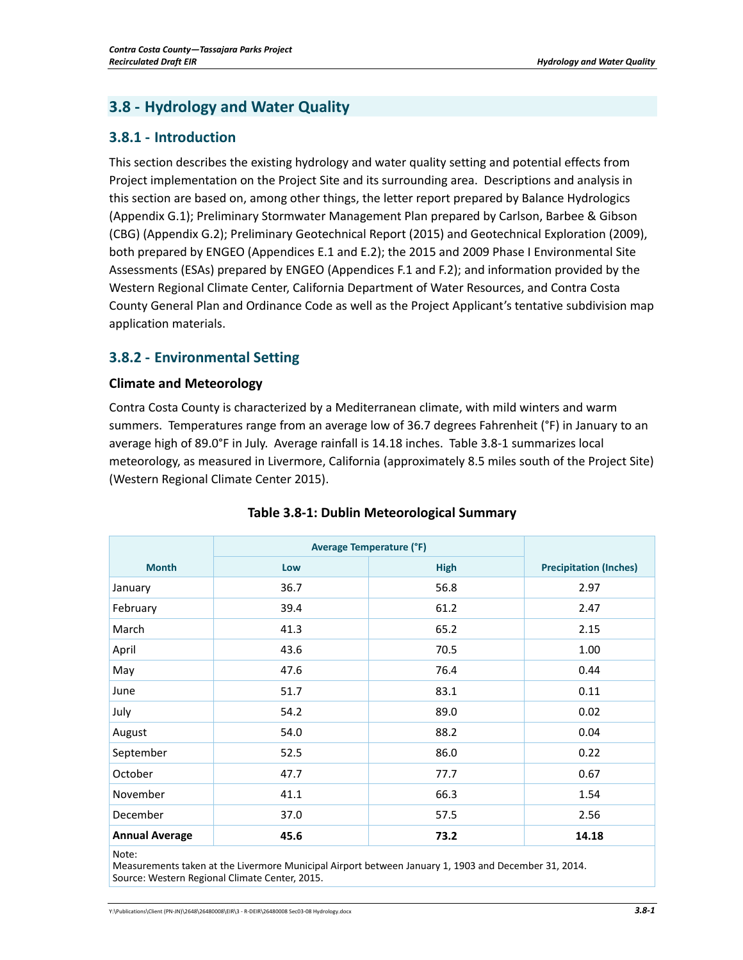# **3.8 - Hydrology and Water Quality**

## **3.8.1 - Introduction**

This section describes the existing hydrology and water quality setting and potential effects from Project implementation on the Project Site and its surrounding area. Descriptions and analysis in this section are based on, among other things, the letter report prepared by Balance Hydrologics (Appendix G.1); Preliminary Stormwater Management Plan prepared by Carlson, Barbee & Gibson (CBG) (Appendix G.2); Preliminary Geotechnical Report (2015) and Geotechnical Exploration (2009), both prepared by ENGEO (Appendices E.1 and E.2); the 2015 and 2009 Phase I Environmental Site Assessments (ESAs) prepared by ENGEO (Appendices F.1 and F.2); and information provided by the Western Regional Climate Center, California Department of Water Resources, and Contra Costa County General Plan and Ordinance Code as well as the Project Applicant's tentative subdivision map application materials.

## **3.8.2 - Environmental Setting**

## **Climate and Meteorology**

Contra Costa County is characterized by a Mediterranean climate, with mild winters and warm summers. Temperatures range from an average low of 36.7 degrees Fahrenheit (°F) in January to an average high of 89.0°F in July. Average rainfall is 14.18 inches. Table 3.8-1 summarizes local meteorology, as measured in Livermore, California (approximately 8.5 miles south of the Project Site) (Western Regional Climate Center 2015).

|                                                                                                                                       | <b>Average Temperature (°F)</b> |             |                               |
|---------------------------------------------------------------------------------------------------------------------------------------|---------------------------------|-------------|-------------------------------|
| <b>Month</b>                                                                                                                          | Low                             | <b>High</b> | <b>Precipitation (Inches)</b> |
| January                                                                                                                               | 36.7                            | 56.8        | 2.97                          |
| February                                                                                                                              | 39.4                            | 61.2        | 2.47                          |
| March                                                                                                                                 | 41.3                            | 65.2        | 2.15                          |
| April                                                                                                                                 | 43.6                            | 70.5        | 1.00                          |
| May                                                                                                                                   | 47.6                            | 76.4        | 0.44                          |
| June                                                                                                                                  | 51.7                            | 83.1        | 0.11                          |
| July                                                                                                                                  | 54.2                            | 89.0        | 0.02                          |
| August                                                                                                                                | 54.0                            | 88.2        | 0.04                          |
| September                                                                                                                             | 52.5                            | 86.0        | 0.22                          |
| October                                                                                                                               | 47.7                            | 77.7        | 0.67                          |
| November                                                                                                                              | 41.1                            | 66.3        | 1.54                          |
| December                                                                                                                              | 37.0                            | 57.5        | 2.56                          |
| <b>Annual Average</b>                                                                                                                 | 45.6                            | 73.2        | 14.18                         |
| Note:<br>$\sim$ . The second contract of the second state of the second contract of the second products of the second second that $A$ |                                 |             |                               |

## **Table 3.8-1: Dublin Meteorological Summary**

Measurements taken at the Livermore Municipal Airport between January 1, 1903 and December 31, 2014. Source: Western Regional Climate Center, 2015.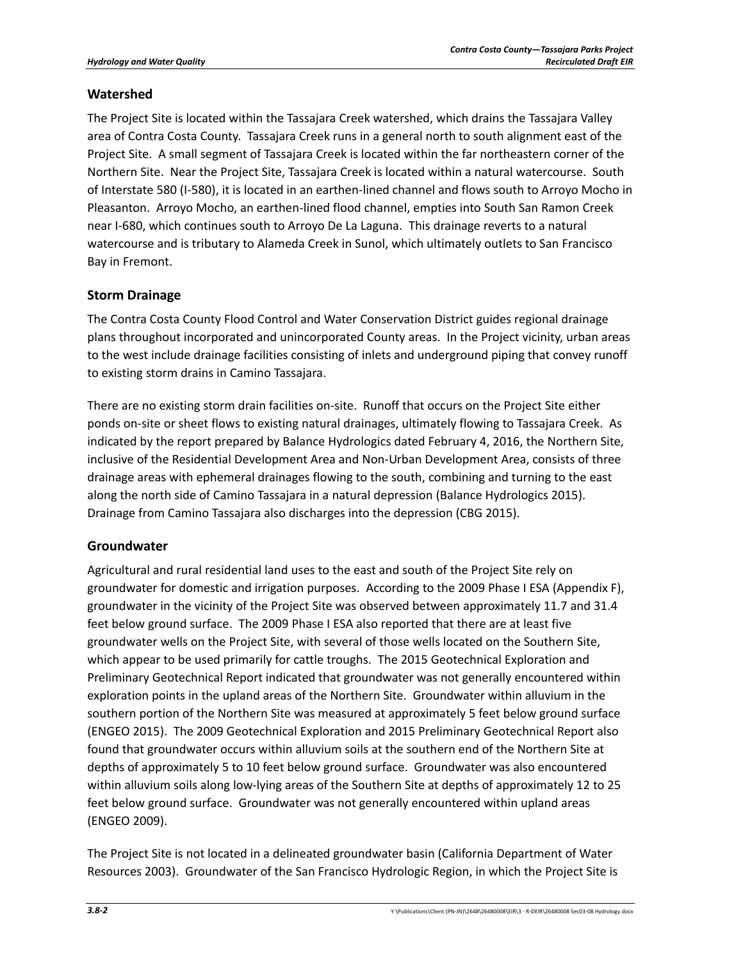## **Watershed**

The Project Site is located within the Tassajara Creek watershed, which drains the Tassajara Valley area of Contra Costa County. Tassajara Creek runs in a general north to south alignment east of the Project Site. A small segment of Tassajara Creek is located within the far northeastern corner of the Northern Site. Near the Project Site, Tassajara Creek is located within a natural watercourse. South of Interstate 580 (I-580), it is located in an earthen-lined channel and flows south to Arroyo Mocho in Pleasanton. Arroyo Mocho, an earthen-lined flood channel, empties into South San Ramon Creek near I-680, which continues south to Arroyo De La Laguna. This drainage reverts to a natural watercourse and is tributary to Alameda Creek in Sunol, which ultimately outlets to San Francisco Bay in Fremont.

## **Storm Drainage**

The Contra Costa County Flood Control and Water Conservation District guides regional drainage plans throughout incorporated and unincorporated County areas. In the Project vicinity, urban areas to the west include drainage facilities consisting of inlets and underground piping that convey runoff to existing storm drains in Camino Tassajara.

There are no existing storm drain facilities on-site. Runoff that occurs on the Project Site either ponds on-site or sheet flows to existing natural drainages, ultimately flowing to Tassajara Creek. As indicated by the report prepared by Balance Hydrologics dated February 4, 2016, the Northern Site, inclusive of the Residential Development Area and Non-Urban Development Area, consists of three drainage areas with ephemeral drainages flowing to the south, combining and turning to the east along the north side of Camino Tassajara in a natural depression (Balance Hydrologics 2015). Drainage from Camino Tassajara also discharges into the depression (CBG 2015).

## **Groundwater**

Agricultural and rural residential land uses to the east and south of the Project Site rely on groundwater for domestic and irrigation purposes. According to the 2009 Phase I ESA (Appendix F), groundwater in the vicinity of the Project Site was observed between approximately 11.7 and 31.4 feet below ground surface. The 2009 Phase I ESA also reported that there are at least five groundwater wells on the Project Site, with several of those wells located on the Southern Site, which appear to be used primarily for cattle troughs. The 2015 Geotechnical Exploration and Preliminary Geotechnical Report indicated that groundwater was not generally encountered within exploration points in the upland areas of the Northern Site. Groundwater within alluvium in the southern portion of the Northern Site was measured at approximately 5 feet below ground surface (ENGEO 2015). The 2009 Geotechnical Exploration and 2015 Preliminary Geotechnical Report also found that groundwater occurs within alluvium soils at the southern end of the Northern Site at depths of approximately 5 to 10 feet below ground surface. Groundwater was also encountered within alluvium soils along low-lying areas of the Southern Site at depths of approximately 12 to 25 feet below ground surface. Groundwater was not generally encountered within upland areas (ENGEO 2009).

The Project Site is not located in a delineated groundwater basin (California Department of Water Resources 2003). Groundwater of the San Francisco Hydrologic Region, in which the Project Site is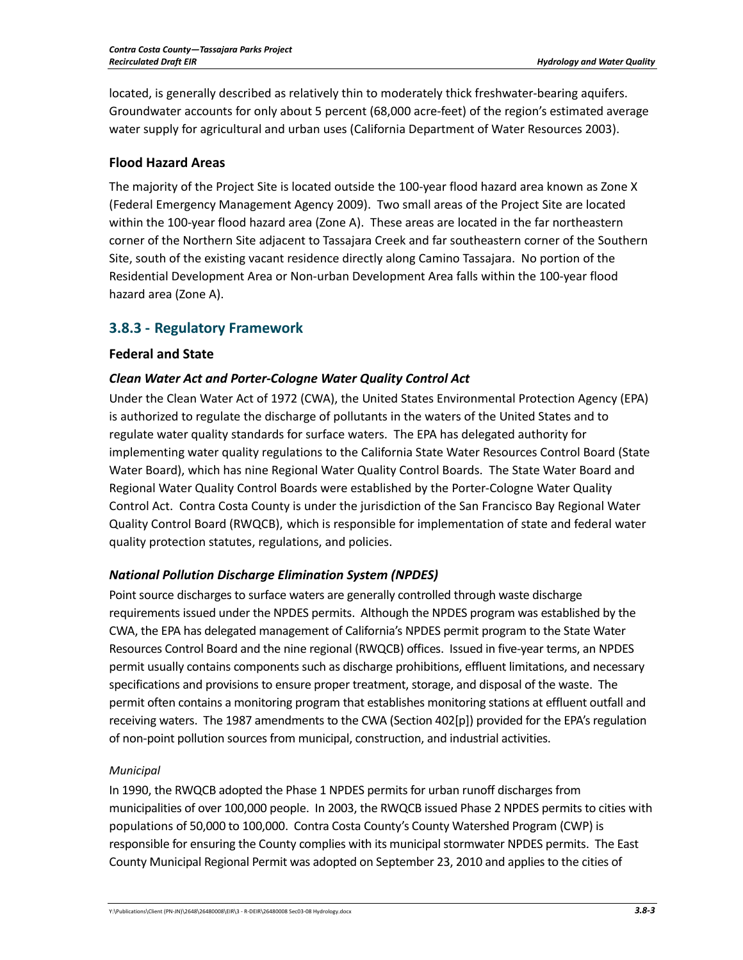located, is generally described as relatively thin to moderately thick freshwater-bearing aquifers. Groundwater accounts for only about 5 percent (68,000 acre-feet) of the region's estimated average water supply for agricultural and urban uses (California Department of Water Resources 2003).

## **Flood Hazard Areas**

The majority of the Project Site is located outside the 100-year flood hazard area known as Zone X (Federal Emergency Management Agency 2009). Two small areas of the Project Site are located within the 100-year flood hazard area (Zone A). These areas are located in the far northeastern corner of the Northern Site adjacent to Tassajara Creek and far southeastern corner of the Southern Site, south of the existing vacant residence directly along Camino Tassajara. No portion of the Residential Development Area or Non-urban Development Area falls within the 100-year flood hazard area (Zone A).

## **3.8.3 - Regulatory Framework**

## **Federal and State**

## *Clean Water Act and Porter-Cologne Water Quality Control Act*

Under the Clean Water Act of 1972 (CWA), the United States Environmental Protection Agency (EPA) is authorized to regulate the discharge of pollutants in the waters of the United States and to regulate water quality standards for surface waters. The EPA has delegated authority for implementing water quality regulations to the California State Water Resources Control Board (State Water Board), which has nine Regional Water Quality Control Boards. The State Water Board and Regional Water Quality Control Boards were established by the Porter-Cologne Water Quality Control Act. Contra Costa County is under the jurisdiction of the San Francisco Bay Regional Water Quality Control Board (RWQCB), which is responsible for implementation of state and federal water quality protection statutes, regulations, and policies.

## *National Pollution Discharge Elimination System (NPDES)*

Point source discharges to surface waters are generally controlled through waste discharge requirements issued under the NPDES permits. Although the NPDES program was established by the CWA, the EPA has delegated management of California's NPDES permit program to the State Water Resources Control Board and the nine regional (RWQCB) offices. Issued in five-year terms, an NPDES permit usually contains components such as discharge prohibitions, effluent limitations, and necessary specifications and provisions to ensure proper treatment, storage, and disposal of the waste. The permit often contains a monitoring program that establishes monitoring stations at effluent outfall and receiving waters. The 1987 amendments to the CWA (Section 402[p]) provided for the EPA's regulation of non-point pollution sources from municipal, construction, and industrial activities.

## *Municipal*

In 1990, the RWQCB adopted the Phase 1 NPDES permits for urban runoff discharges from municipalities of over 100,000 people. In 2003, the RWQCB issued Phase 2 NPDES permits to cities with populations of 50,000 to 100,000. Contra Costa County's County Watershed Program (CWP) is responsible for ensuring the County complies with its municipal stormwater NPDES permits. The East County Municipal Regional Permit was adopted on September 23, 2010 and applies to the cities of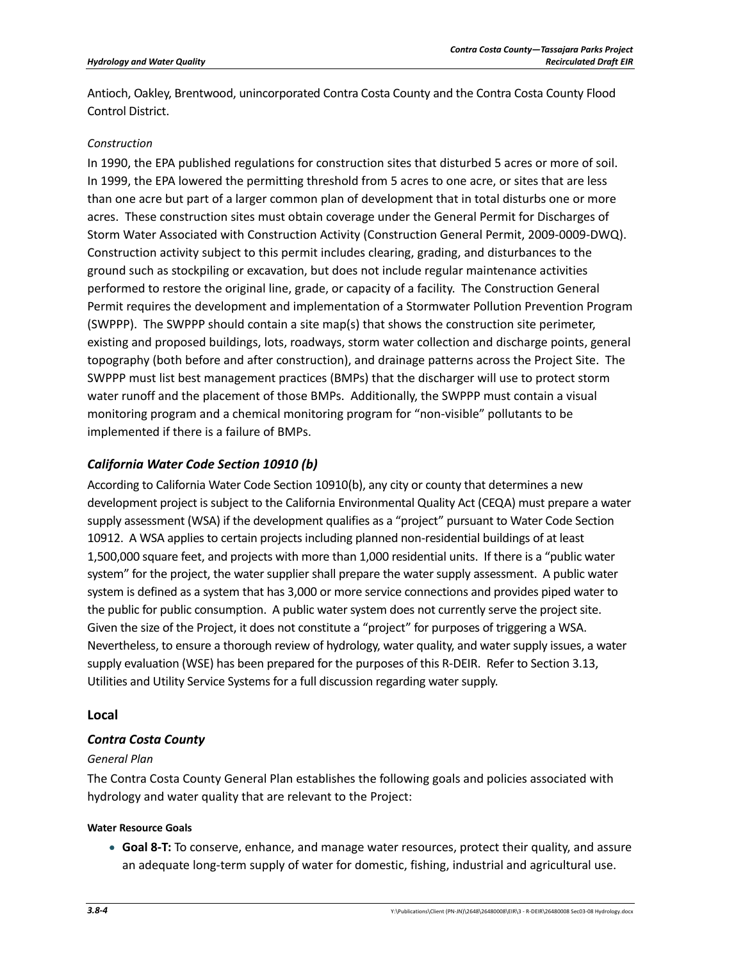Antioch, Oakley, Brentwood, unincorporated Contra Costa County and the Contra Costa County Flood Control District.

## *Construction*

In 1990, the EPA published regulations for construction sites that disturbed 5 acres or more of soil. In 1999, the EPA lowered the permitting threshold from 5 acres to one acre, or sites that are less than one acre but part of a larger common plan of development that in total disturbs one or more acres. These construction sites must obtain coverage under the General Permit for Discharges of Storm Water Associated with Construction Activity (Construction General Permit, 2009-0009-DWQ). Construction activity subject to this permit includes clearing, grading, and disturbances to the ground such as stockpiling or excavation, but does not include regular maintenance activities performed to restore the original line, grade, or capacity of a facility. The Construction General Permit requires the development and implementation of a Stormwater Pollution Prevention Program (SWPPP). The SWPPP should contain a site map(s) that shows the construction site perimeter, existing and proposed buildings, lots, roadways, storm water collection and discharge points, general topography (both before and after construction), and drainage patterns across the Project Site. The SWPPP must list best management practices (BMPs) that the discharger will use to protect storm water runoff and the placement of those BMPs. Additionally, the SWPPP must contain a visual monitoring program and a chemical monitoring program for "non-visible" pollutants to be implemented if there is a failure of BMPs.

## *California Water Code Section 10910 (b)*

According to California Water Code Section 10910(b), any city or county that determines a new development project is subject to the California Environmental Quality Act (CEQA) must prepare a water supply assessment (WSA) if the development qualifies as a "project" pursuant to Water Code Section 10912. A WSA applies to certain projects including planned non-residential buildings of at least 1,500,000 square feet, and projects with more than 1,000 residential units. If there is a "public water system" for the project, the water supplier shall prepare the water supply assessment. A public water system is defined as a system that has 3,000 or more service connections and provides piped water to the public for public consumption. A public water system does not currently serve the project site. Given the size of the Project, it does not constitute a "project" for purposes of triggering a WSA. Nevertheless, to ensure a thorough review of hydrology, water quality, and water supply issues, a water supply evaluation (WSE) has been prepared for the purposes of this R-DEIR. Refer to Section 3.13, Utilities and Utility Service Systems for a full discussion regarding water supply.

## **Local**

## *Contra Costa County*

### *General Plan*

The Contra Costa County General Plan establishes the following goals and policies associated with hydrology and water quality that are relevant to the Project:

### **Water Resource Goals**

• **Goal 8-T:** To conserve, enhance, and manage water resources, protect their quality, and assure an adequate long-term supply of water for domestic, fishing, industrial and agricultural use.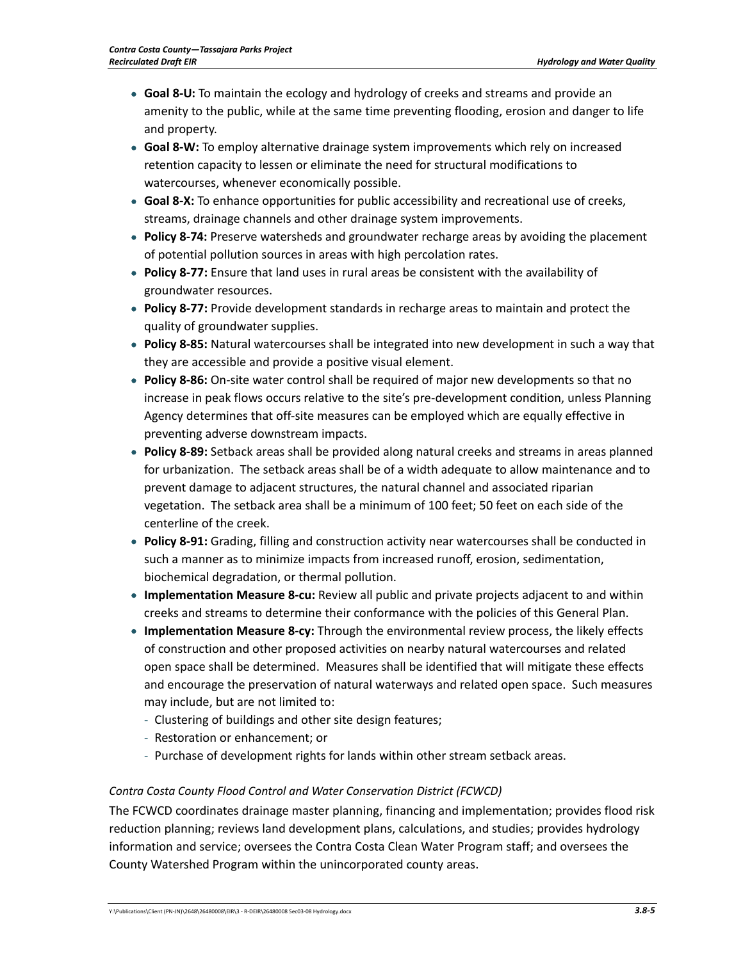- **Goal 8-U:** To maintain the ecology and hydrology of creeks and streams and provide an amenity to the public, while at the same time preventing flooding, erosion and danger to life and property.
- **Goal 8-W:** To employ alternative drainage system improvements which rely on increased retention capacity to lessen or eliminate the need for structural modifications to watercourses, whenever economically possible.
- **Goal 8-X:** To enhance opportunities for public accessibility and recreational use of creeks, streams, drainage channels and other drainage system improvements.
- **Policy 8-74:** Preserve watersheds and groundwater recharge areas by avoiding the placement of potential pollution sources in areas with high percolation rates.
- **Policy 8-77:** Ensure that land uses in rural areas be consistent with the availability of groundwater resources.
- **Policy 8-77:** Provide development standards in recharge areas to maintain and protect the quality of groundwater supplies.
- **Policy 8-85:** Natural watercourses shall be integrated into new development in such a way that they are accessible and provide a positive visual element.
- **Policy 8-86:** On-site water control shall be required of major new developments so that no increase in peak flows occurs relative to the site's pre-development condition, unless Planning Agency determines that off-site measures can be employed which are equally effective in preventing adverse downstream impacts.
- **Policy 8-89:** Setback areas shall be provided along natural creeks and streams in areas planned for urbanization. The setback areas shall be of a width adequate to allow maintenance and to prevent damage to adjacent structures, the natural channel and associated riparian vegetation. The setback area shall be a minimum of 100 feet; 50 feet on each side of the centerline of the creek.
- **Policy 8-91:** Grading, filling and construction activity near watercourses shall be conducted in such a manner as to minimize impacts from increased runoff, erosion, sedimentation, biochemical degradation, or thermal pollution.
- **Implementation Measure 8-cu:** Review all public and private projects adjacent to and within creeks and streams to determine their conformance with the policies of this General Plan.
- **Implementation Measure 8-cy:** Through the environmental review process, the likely effects of construction and other proposed activities on nearby natural watercourses and related open space shall be determined. Measures shall be identified that will mitigate these effects and encourage the preservation of natural waterways and related open space. Such measures may include, but are not limited to:
	- Clustering of buildings and other site design features;
	- Restoration or enhancement; or
	- Purchase of development rights for lands within other stream setback areas.

### *Contra Costa County Flood Control and Water Conservation District (FCWCD)*

The FCWCD coordinates drainage master planning, financing and implementation; provides flood risk reduction planning; reviews land development plans, calculations, and studies; provides hydrology information and service; oversees the Contra Costa Clean Water Program staff; and oversees the County Watershed Program within the unincorporated county areas.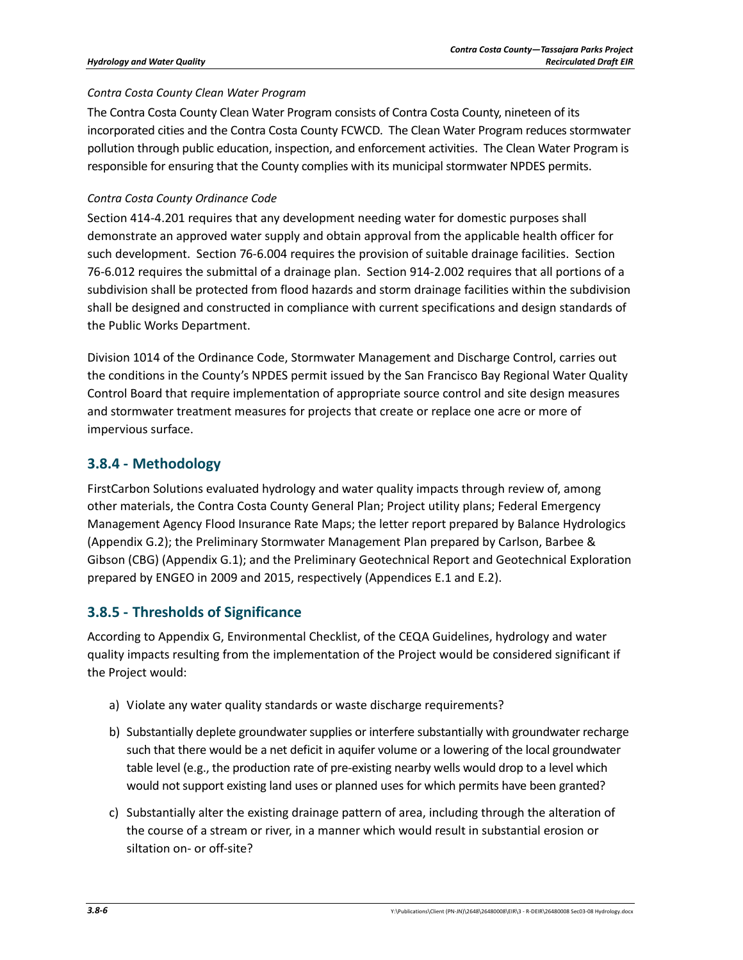## *Contra Costa County Clean Water Program*

The Contra Costa County Clean Water Program consists of Contra Costa County, nineteen of its incorporated cities and the Contra Costa County FCWCD. The Clean Water Program reduces stormwater pollution through public education, inspection, and enforcement activities. The Clean Water Program is responsible for ensuring that the County complies with its municipal stormwater NPDES permits.

## *Contra Costa County Ordinance Code*

Section 414-4.201 requires that any development needing water for domestic purposes shall demonstrate an approved water supply and obtain approval from the applicable health officer for such development. Section 76-6.004 requires the provision of suitable drainage facilities. Section 76-6.012 requires the submittal of a drainage plan. Section 914-2.002 requires that all portions of a subdivision shall be protected from flood hazards and storm drainage facilities within the subdivision shall be designed and constructed in compliance with current specifications and design standards of the Public Works Department.

Division 1014 of the Ordinance Code, Stormwater Management and Discharge Control, carries out the conditions in the County's NPDES permit issued by the San Francisco Bay Regional Water Quality Control Board that require implementation of appropriate source control and site design measures and stormwater treatment measures for projects that create or replace one acre or more of impervious surface.

## **3.8.4 - Methodology**

FirstCarbon Solutions evaluated hydrology and water quality impacts through review of, among other materials, the Contra Costa County General Plan; Project utility plans; Federal Emergency Management Agency Flood Insurance Rate Maps; the letter report prepared by Balance Hydrologics (Appendix G.2); the Preliminary Stormwater Management Plan prepared by Carlson, Barbee & Gibson (CBG) (Appendix G.1); and the Preliminary Geotechnical Report and Geotechnical Exploration prepared by ENGEO in 2009 and 2015, respectively (Appendices E.1 and E.2).

## **3.8.5 - Thresholds of Significance**

According to Appendix G, Environmental Checklist, of the CEQA Guidelines, hydrology and water quality impacts resulting from the implementation of the Project would be considered significant if the Project would:

- a) Violate any water quality standards or waste discharge requirements?
- b) Substantially deplete groundwater supplies or interfere substantially with groundwater recharge such that there would be a net deficit in aquifer volume or a lowering of the local groundwater table level (e.g., the production rate of pre-existing nearby wells would drop to a level which would not support existing land uses or planned uses for which permits have been granted?
- c) Substantially alter the existing drainage pattern of area, including through the alteration of the course of a stream or river, in a manner which would result in substantial erosion or siltation on- or off-site?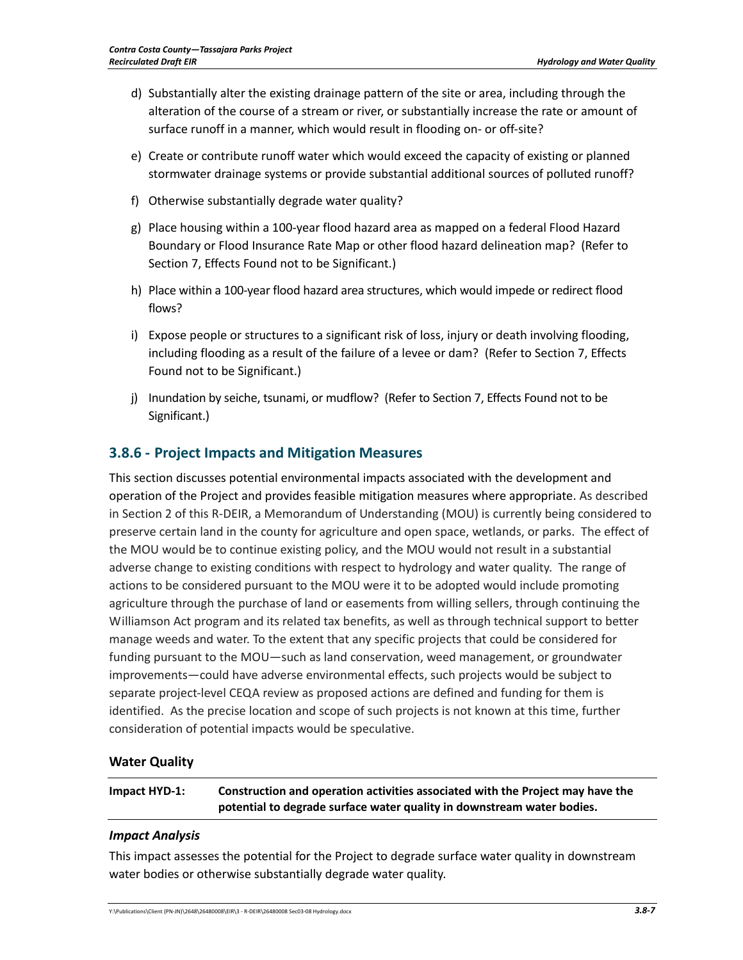- d) Substantially alter the existing drainage pattern of the site or area, including through the alteration of the course of a stream or river, or substantially increase the rate or amount of surface runoff in a manner, which would result in flooding on- or off-site?
- e) Create or contribute runoff water which would exceed the capacity of existing or planned stormwater drainage systems or provide substantial additional sources of polluted runoff?
- f) Otherwise substantially degrade water quality?
- g) Place housing within a 100‐year flood hazard area as mapped on a federal Flood Hazard Boundary or Flood Insurance Rate Map or other flood hazard delineation map? (Refer to Section 7, Effects Found not to be Significant.)
- h) Place within a 100‐year flood hazard area structures, which would impede or redirect flood flows?
- i) Expose people or structures to a significant risk of loss, injury or death involving flooding, including flooding as a result of the failure of a levee or dam? (Refer to Section 7, Effects Found not to be Significant.)
- j) Inundation by seiche, tsunami, or mudflow? (Refer to Section 7, Effects Found not to be Significant.)

## **3.8.6 ‐ Project Impacts and Mitigation Measures**

This section discusses potential environmental impacts associated with the development and operation of the Project and provides feasible mitigation measures where appropriate. As described in Section 2 of this R‐DEIR, a Memorandum of Understanding (MOU) is currently being considered to preserve certain land in the county for agriculture and open space, wetlands, or parks. The effect of the MOU would be to continue existing policy, and the MOU would not result in a substantial adverse change to existing conditions with respect to hydrology and water quality. The range of actions to be considered pursuant to the MOU were it to be adopted would include promoting agriculture through the purchase of land or easements from willing sellers, through continuing the Williamson Act program and its related tax benefits, as well as through technical support to better manage weeds and water. To the extent that any specific projects that could be considered for funding pursuant to the MOU—such as land conservation, weed management, or groundwater improvements—could have adverse environmental effects, such projects would be subject to separate project-level CEQA review as proposed actions are defined and funding for them is identified. As the precise location and scope of such projects is not known at this time, further consideration of potential impacts would be speculative.

## **Water Quality**

**Impact HYD‐1: Construction and operation activities associated with the Project may have the potential to degrade surface water quality in downstream water bodies.**

### *Impact Analysis*

This impact assesses the potential for the Project to degrade surface water quality in downstream water bodies or otherwise substantially degrade water quality.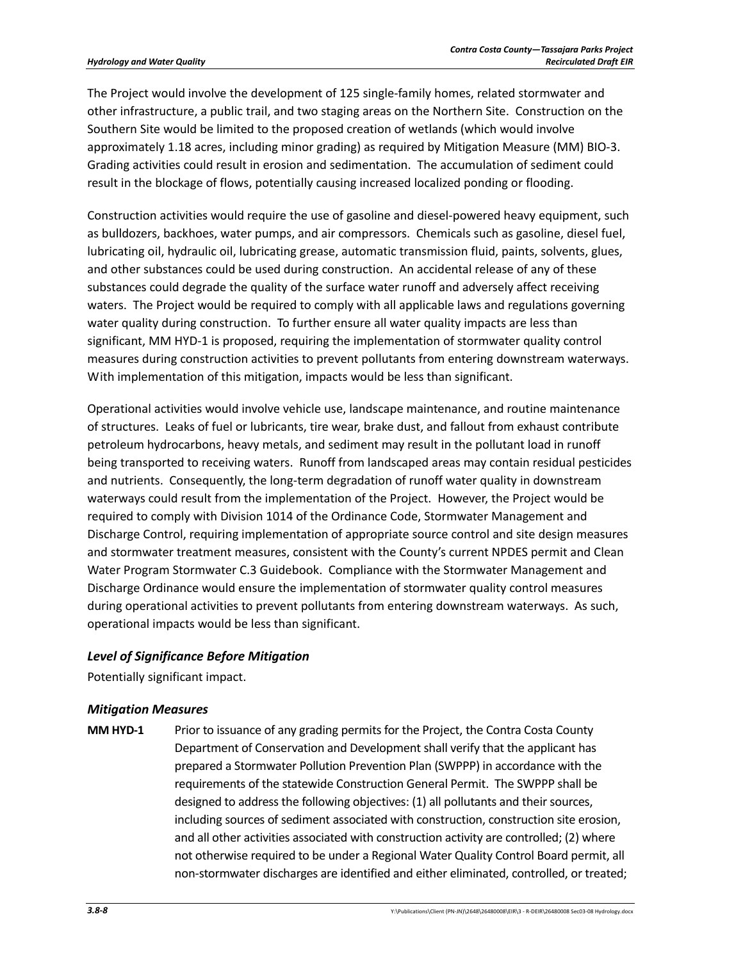The Project would involve the development of 125 single-family homes, related stormwater and other infrastructure, a public trail, and two staging areas on the Northern Site. Construction on the Southern Site would be limited to the proposed creation of wetlands (which would involve approximately 1.18 acres, including minor grading) as required by Mitigation Measure (MM) BIO-3. Grading activities could result in erosion and sedimentation. The accumulation of sediment could result in the blockage of flows, potentially causing increased localized ponding or flooding.

Construction activities would require the use of gasoline and diesel-powered heavy equipment, such as bulldozers, backhoes, water pumps, and air compressors. Chemicals such as gasoline, diesel fuel, lubricating oil, hydraulic oil, lubricating grease, automatic transmission fluid, paints, solvents, glues, and other substances could be used during construction. An accidental release of any of these substances could degrade the quality of the surface water runoff and adversely affect receiving waters. The Project would be required to comply with all applicable laws and regulations governing water quality during construction. To further ensure all water quality impacts are less than significant, MM HYD-1 is proposed, requiring the implementation of stormwater quality control measures during construction activities to prevent pollutants from entering downstream waterways. With implementation of this mitigation, impacts would be less than significant.

Operational activities would involve vehicle use, landscape maintenance, and routine maintenance of structures. Leaks of fuel or lubricants, tire wear, brake dust, and fallout from exhaust contribute petroleum hydrocarbons, heavy metals, and sediment may result in the pollutant load in runoff being transported to receiving waters. Runoff from landscaped areas may contain residual pesticides and nutrients. Consequently, the long-term degradation of runoff water quality in downstream waterways could result from the implementation of the Project. However, the Project would be required to comply with Division 1014 of the Ordinance Code, Stormwater Management and Discharge Control, requiring implementation of appropriate source control and site design measures and stormwater treatment measures, consistent with the County's current NPDES permit and Clean Water Program Stormwater C.3 Guidebook. Compliance with the Stormwater Management and Discharge Ordinance would ensure the implementation of stormwater quality control measures during operational activities to prevent pollutants from entering downstream waterways. As such, operational impacts would be less than significant.

## *Level of Significance Before Mitigation*

Potentially significant impact.

## *Mitigation Measures*

**MM HYD-1** Prior to issuance of any grading permits for the Project, the Contra Costa County Department of Conservation and Development shall verify that the applicant has prepared a Stormwater Pollution Prevention Plan (SWPPP) in accordance with the requirements of the statewide Construction General Permit. The SWPPP shall be designed to address the following objectives: (1) all pollutants and their sources, including sources of sediment associated with construction, construction site erosion, and all other activities associated with construction activity are controlled; (2) where not otherwise required to be under a Regional Water Quality Control Board permit, all non-stormwater discharges are identified and either eliminated, controlled, or treated;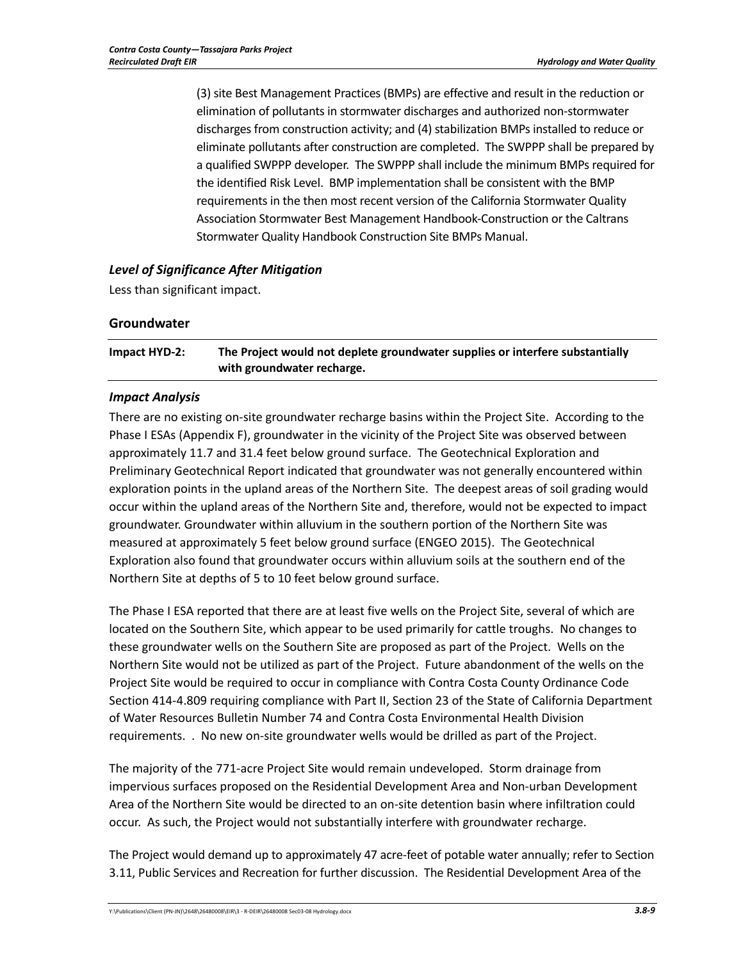(3) site Best Management Practices (BMPs) are effective and result in the reduction or elimination of pollutants in stormwater discharges and authorized non-stormwater discharges from construction activity; and (4) stabilization BMPs installed to reduce or eliminate pollutants after construction are completed. The SWPPP shall be prepared by a qualified SWPPP developer. The SWPPP shall include the minimum BMPs required for the identified Risk Level. BMP implementation shall be consistent with the BMP requirements in the then most recent version of the California Stormwater Quality Association Stormwater Best Management Handbook-Construction or the Caltrans Stormwater Quality Handbook Construction Site BMPs Manual.

## *Level of Significance After Mitigation*

Less than significant impact.

### **Groundwater**

**Impact HYD-2: The Project would not deplete groundwater supplies or interfere substantially with groundwater recharge.** 

## *Impact Analysis*

There are no existing on-site groundwater recharge basins within the Project Site. According to the Phase I ESAs (Appendix F), groundwater in the vicinity of the Project Site was observed between approximately 11.7 and 31.4 feet below ground surface. The Geotechnical Exploration and Preliminary Geotechnical Report indicated that groundwater was not generally encountered within exploration points in the upland areas of the Northern Site. The deepest areas of soil grading would occur within the upland areas of the Northern Site and, therefore, would not be expected to impact groundwater. Groundwater within alluvium in the southern portion of the Northern Site was measured at approximately 5 feet below ground surface (ENGEO 2015). The Geotechnical Exploration also found that groundwater occurs within alluvium soils at the southern end of the Northern Site at depths of 5 to 10 feet below ground surface.

The Phase I ESA reported that there are at least five wells on the Project Site, several of which are located on the Southern Site, which appear to be used primarily for cattle troughs. No changes to these groundwater wells on the Southern Site are proposed as part of the Project. Wells on the Northern Site would not be utilized as part of the Project. Future abandonment of the wells on the Project Site would be required to occur in compliance with Contra Costa County Ordinance Code Section 414-4.809 requiring compliance with Part II, Section 23 of the State of California Department of Water Resources Bulletin Number 74 and Contra Costa Environmental Health Division requirements. . No new on-site groundwater wells would be drilled as part of the Project.

The majority of the 771-acre Project Site would remain undeveloped. Storm drainage from impervious surfaces proposed on the Residential Development Area and Non-urban Development Area of the Northern Site would be directed to an on-site detention basin where infiltration could occur. As such, the Project would not substantially interfere with groundwater recharge.

The Project would demand up to approximately 47 acre-feet of potable water annually; refer to Section 3.11, Public Services and Recreation for further discussion. The Residential Development Area of the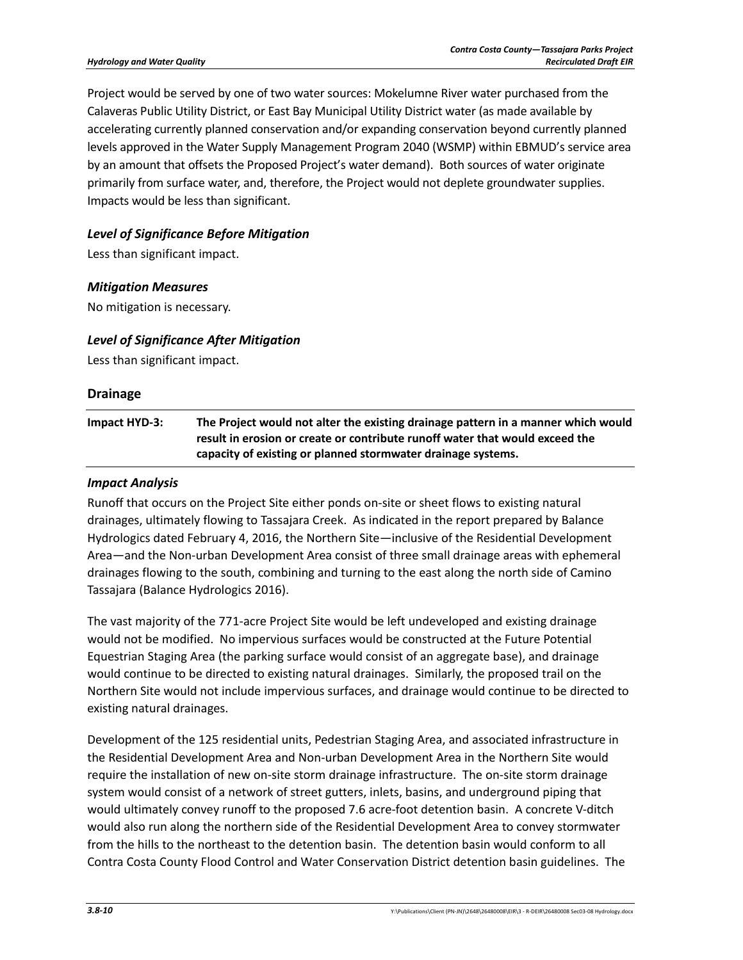Project would be served by one of two water sources: Mokelumne River water purchased from the Calaveras Public Utility District, or East Bay Municipal Utility District water (as made available by accelerating currently planned conservation and/or expanding conservation beyond currently planned levels approved in the Water Supply Management Program 2040 (WSMP) within EBMUD's service area by an amount that offsets the Proposed Project's water demand). Both sources of water originate primarily from surface water, and, therefore, the Project would not deplete groundwater supplies. Impacts would be less than significant.

### *Level of Significance Before Mitigation*

Less than significant impact.

#### *Mitigation Measures*

No mitigation is necessary.

#### *Level of Significance After Mitigation*

Less than significant impact.

# **Drainage Impact HYD-3: The Project would not alter the existing drainage pattern in a manner which would result in erosion or create or contribute runoff water that would exceed the capacity of existing or planned stormwater drainage systems.**

#### *Impact Analysis*

Runoff that occurs on the Project Site either ponds on-site or sheet flows to existing natural drainages, ultimately flowing to Tassajara Creek. As indicated in the report prepared by Balance Hydrologics dated February 4, 2016, the Northern Site—inclusive of the Residential Development Area—and the Non-urban Development Area consist of three small drainage areas with ephemeral drainages flowing to the south, combining and turning to the east along the north side of Camino Tassajara (Balance Hydrologics 2016).

The vast majority of the 771-acre Project Site would be left undeveloped and existing drainage would not be modified. No impervious surfaces would be constructed at the Future Potential Equestrian Staging Area (the parking surface would consist of an aggregate base), and drainage would continue to be directed to existing natural drainages. Similarly, the proposed trail on the Northern Site would not include impervious surfaces, and drainage would continue to be directed to existing natural drainages.

Development of the 125 residential units, Pedestrian Staging Area, and associated infrastructure in the Residential Development Area and Non-urban Development Area in the Northern Site would require the installation of new on-site storm drainage infrastructure. The on-site storm drainage system would consist of a network of street gutters, inlets, basins, and underground piping that would ultimately convey runoff to the proposed 7.6 acre-foot detention basin. A concrete V-ditch would also run along the northern side of the Residential Development Area to convey stormwater from the hills to the northeast to the detention basin. The detention basin would conform to all Contra Costa County Flood Control and Water Conservation District detention basin guidelines. The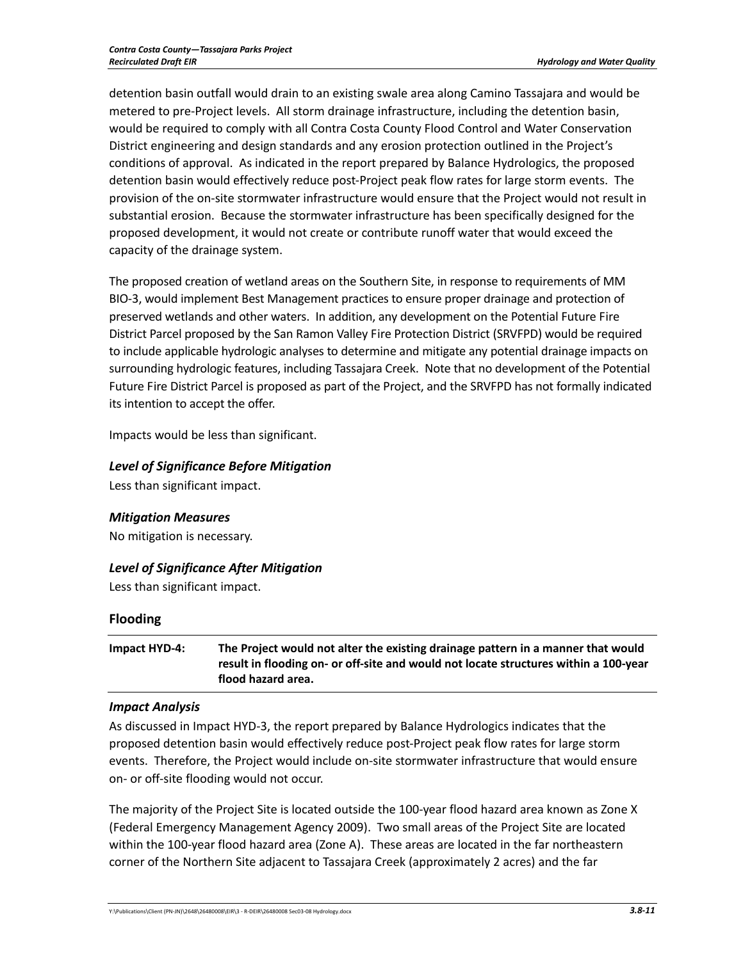detention basin outfall would drain to an existing swale area along Camino Tassajara and would be metered to pre-Project levels. All storm drainage infrastructure, including the detention basin, would be required to comply with all Contra Costa County Flood Control and Water Conservation District engineering and design standards and any erosion protection outlined in the Project's conditions of approval. As indicated in the report prepared by Balance Hydrologics, the proposed detention basin would effectively reduce post-Project peak flow rates for large storm events. The provision of the on-site stormwater infrastructure would ensure that the Project would not result in substantial erosion. Because the stormwater infrastructure has been specifically designed for the proposed development, it would not create or contribute runoff water that would exceed the capacity of the drainage system.

The proposed creation of wetland areas on the Southern Site, in response to requirements of MM BIO-3, would implement Best Management practices to ensure proper drainage and protection of preserved wetlands and other waters. In addition, any development on the Potential Future Fire District Parcel proposed by the San Ramon Valley Fire Protection District (SRVFPD) would be required to include applicable hydrologic analyses to determine and mitigate any potential drainage impacts on surrounding hydrologic features, including Tassajara Creek. Note that no development of the Potential Future Fire District Parcel is proposed as part of the Project, and the SRVFPD has not formally indicated its intention to accept the offer.

Impacts would be less than significant.

## *Level of Significance Before Mitigation*

Less than significant impact.

### *Mitigation Measures*

No mitigation is necessary.

## *Level of Significance After Mitigation*

Less than significant impact.

## **Flooding**

**Impact HYD-4: The Project would not alter the existing drainage pattern in a manner that would result in flooding on- or off-site and would not locate structures within a 100-year flood hazard area.** 

### *Impact Analysis*

As discussed in Impact HYD-3, the report prepared by Balance Hydrologics indicates that the proposed detention basin would effectively reduce post-Project peak flow rates for large storm events. Therefore, the Project would include on-site stormwater infrastructure that would ensure on- or off-site flooding would not occur.

The majority of the Project Site is located outside the 100-year flood hazard area known as Zone X (Federal Emergency Management Agency 2009). Two small areas of the Project Site are located within the 100-year flood hazard area (Zone A). These areas are located in the far northeastern corner of the Northern Site adjacent to Tassajara Creek (approximately 2 acres) and the far